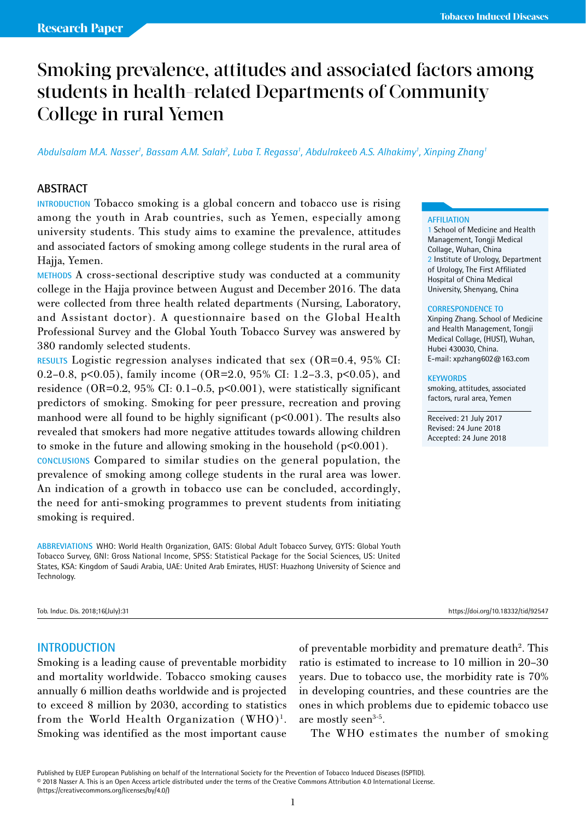# Smoking prevalence, attitudes and associated factors among students in health-related Departments of Community College in rural Yemen

#### *Abdulsalam M.A. Nasser1 , Bassam A.M. Salah2 , Luba T. Regassa1 , Abdulrakeeb A.S. Alhakimy1 , Xinping Zhang1*

#### **ABSTRACT**

**INTRODUCTION** Tobacco smoking is a global concern and tobacco use is rising among the youth in Arab countries, such as Yemen, especially among university students. This study aims to examine the prevalence, attitudes and associated factors of smoking among college students in the rural area of Hajja, Yemen.

**METHODS** A cross-sectional descriptive study was conducted at a community college in the Hajja province between August and December 2016. The data were collected from three health related departments (Nursing, Laboratory, and Assistant doctor). A questionnaire based on the Global Health Professional Survey and the Global Youth Tobacco Survey was answered by 380 randomly selected students.

**RESULTS** Logistic regression analyses indicated that sex (OR=0.4, 95% CI: 0.2–0.8, p<0.05), family income (OR=2.0, 95% CI: 1.2–3.3, p<0.05), and residence (OR=0.2, 95% CI: 0.1–0.5, p<0.001), were statistically significant predictors of smoking. Smoking for peer pressure, recreation and proving manhood were all found to be highly significant  $(p<0.001)$ . The results also revealed that smokers had more negative attitudes towards allowing children to smoke in the future and allowing smoking in the household (p<0.001).

**CONCLUSIONS** Compared to similar studies on the general population, the prevalence of smoking among college students in the rural area was lower. An indication of a growth in tobacco use can be concluded, accordingly, the need for anti-smoking programmes to prevent students from initiating smoking is required.

**ABBREVIATIONS** WHO: World Health Organization, GATS: Global Adult Tobacco Survey, GYTS: Global Youth Tobacco Survey, GNI: Gross National Income, SPSS: Statistical Package for the Social Sciences, US: United States, KSA: Kingdom of Saudi Arabia, UAE: United Arab Emirates, HUST: Huazhong University of Science and Technology.

#### **INTRODUCTION**

Smoking is a leading cause of preventable morbidity and mortality worldwide. Tobacco smoking causes annually 6 million deaths worldwide and is projected to exceed 8 million by 2030, according to statistics from the World Health Organization  $(WHO)^1$ . Smoking was identified as the most important cause

of preventable morbidity and premature death<sup>2</sup>. This ratio is estimated to increase to 10 million in 20–30 years. Due to tobacco use, the morbidity rate is 70% in developing countries, and these countries are the ones in which problems due to epidemic tobacco use are mostly seen<sup>3-5</sup>.

The WHO estimates the number of smoking

Published by EUEP European Publishing on behalf of the International Society for the Prevention of Tobacco Induced Diseases (ISPTID). © 2018 Nasser A. This is an Open Access article distributed under the terms of the Creative Commons Attribution 4.0 International License. (https://creativecommons.org/licenses/by/4.0/)

#### **AFFILIATION**

1 School of Medicine and Health Management, Tongji Medical Collage, Wuhan, China 2 Institute of Urology, Department of Urology, The First Affiliated Hospital of China Medical University, Shenyang, China

#### **CORRESPONDENCE TO**

Xinping Zhang. School of Medicine and Health Management, Tongji Medical Collage, (HUST), Wuhan, Hubei 430030, China. E-mail: xpzhang602@163.com

#### **KEYWORDS**

smoking, attitudes, associated factors, rural area, Yemen

Received: 21 July 2017 Revised: 24 June 2018 Accepted: 24 June 2018

Tob. Induc. Dis. 2018;16(July):31 https://doi.org/10.18332/tid/92547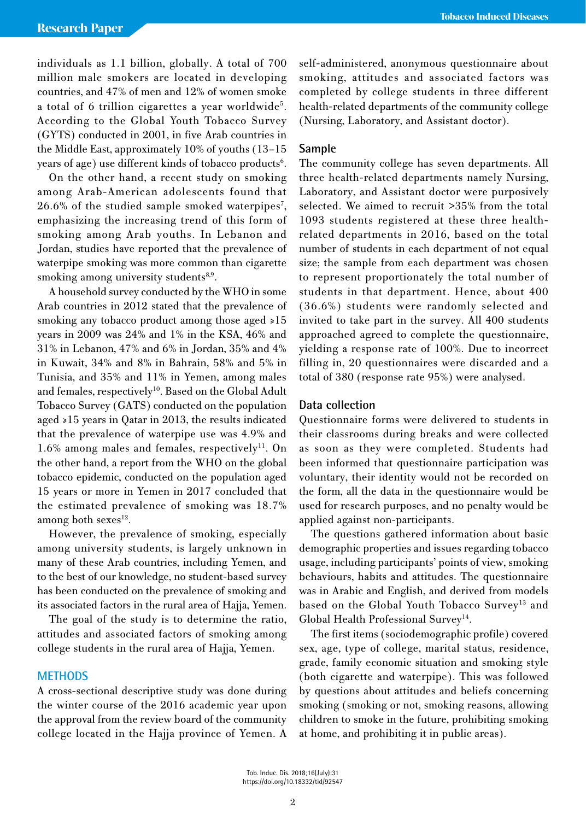individuals as 1.1 billion, globally. A total of 700 million male smokers are located in developing countries, and 47% of men and 12% of women smoke a total of 6 trillion cigarettes a year worldwide<sup>5</sup>. According to the Global Youth Tobacco Survey (GYTS) conducted in 2001, in five Arab countries in the Middle East, approximately 10% of youths (13–15 years of age) use different kinds of tobacco products<sup>6</sup>.

On the other hand, a recent study on smoking among Arab-American adolescents found that 26.6% of the studied sample smoked waterpipes<sup>7</sup>, emphasizing the increasing trend of this form of smoking among Arab youths. In Lebanon and Jordan, studies have reported that the prevalence of waterpipe smoking was more common than cigarette smoking among university students<sup>8,9</sup>.

A household survey conducted by the WHO in some Arab countries in 2012 stated that the prevalence of smoking any tobacco product among those aged >15 years in 2009 was 24% and 1% in the KSA, 46% and 31% in Lebanon, 47% and 6% in Jordan, 35% and 4% in Kuwait, 34% and 8% in Bahrain, 58% and 5% in Tunisia, and 35% and 11% in Yemen, among males and females, respectively<sup>10</sup>. Based on the Global Adult Tobacco Survey (GATS) conducted on the population aged ≥15 years in Qatar in 2013, the results indicated that the prevalence of waterpipe use was 4.9% and  $1.6\%$  among males and females, respectively<sup>11</sup>. On the other hand, a report from the WHO on the global tobacco epidemic, conducted on the population aged 15 years or more in Yemen in 2017 concluded that the estimated prevalence of smoking was 18.7% among both sexes $^{12}$ .

However, the prevalence of smoking, especially among university students, is largely unknown in many of these Arab countries, including Yemen, and to the best of our knowledge, no student-based survey has been conducted on the prevalence of smoking and its associated factors in the rural area of Hajja, Yemen.

The goal of the study is to determine the ratio, attitudes and associated factors of smoking among college students in the rural area of Hajja, Yemen.

# **METHODS**

A cross-sectional descriptive study was done during the winter course of the 2016 academic year upon the approval from the review board of the community college located in the Hajja province of Yemen. A self-administered, anonymous questionnaire about smoking, attitudes and associated factors was completed by college students in three different health-related departments of the community college (Nursing, Laboratory, and Assistant doctor).

#### **Sample**

The community college has seven departments. All three health-related departments namely Nursing, Laboratory, and Assistant doctor were purposively selected. We aimed to recruit >35% from the total 1093 students registered at these three healthrelated departments in 2016, based on the total number of students in each department of not equal size; the sample from each department was chosen to represent proportionately the total number of students in that department. Hence, about 400 (36.6%) students were randomly selected and invited to take part in the survey. All 400 students approached agreed to complete the questionnaire, yielding a response rate of 100%. Due to incorrect filling in, 20 questionnaires were discarded and a total of 380 (response rate 95%) were analysed.

#### **Data collection**

Questionnaire forms were delivered to students in their classrooms during breaks and were collected as soon as they were completed. Students had been informed that questionnaire participation was voluntary, their identity would not be recorded on the form, all the data in the questionnaire would be used for research purposes, and no penalty would be applied against non-participants.

The questions gathered information about basic demographic properties and issues regarding tobacco usage, including participants' points of view, smoking behaviours, habits and attitudes. The questionnaire was in Arabic and English, and derived from models based on the Global Youth Tobacco Survey<sup>13</sup> and Global Health Professional Survey<sup>14</sup>.

The first items (sociodemographic profile) covered sex, age, type of college, marital status, residence, grade, family economic situation and smoking style (both cigarette and waterpipe). This was followed by questions about attitudes and beliefs concerning smoking (smoking or not, smoking reasons, allowing children to smoke in the future, prohibiting smoking at home, and prohibiting it in public areas).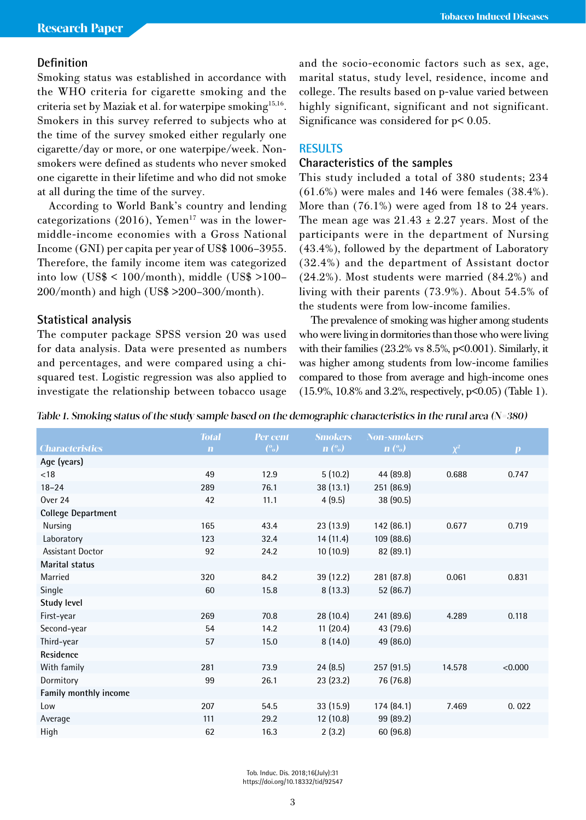# **Definition**

Smoking status was established in accordance with the WHO criteria for cigarette smoking and the criteria set by Maziak et al. for waterpipe smoking<sup>15,16</sup>. Smokers in this survey referred to subjects who at the time of the survey smoked either regularly one cigarette/day or more, or one waterpipe/week. Nonsmokers were defined as students who never smoked one cigarette in their lifetime and who did not smoke at all during the time of the survey.

According to World Bank's country and lending categorizations (2016), Yemen<sup>17</sup> was in the lowermiddle-income economies with a Gross National Income (GNI) per capita per year of US\$ 1006–3955. Therefore, the family income item was categorized into low (US\$ < 100/month), middle (US\$ >100– 200/month) and high (US\$ >200–300/month).

# **Statistical analysis**

The computer package SPSS version 20 was used for data analysis. Data were presented as numbers and percentages, and were compared using a chisquared test. Logistic regression was also applied to investigate the relationship between tobacco usage and the socio-economic factors such as sex, age, marital status, study level, residence, income and college. The results based on p-value varied between highly significant, significant and not significant. Significance was considered for p< 0.05.

# **RESULTS**

# **Characteristics of the samples**

This study included a total of 380 students; 234 (61.6%) were males and 146 were females (38.4%). More than (76.1%) were aged from 18 to 24 years. The mean age was  $21.43 \pm 2.27$  years. Most of the participants were in the department of Nursing (43.4%), followed by the department of Laboratory (32.4%) and the department of Assistant doctor (24.2%). Most students were married (84.2%) and living with their parents (73.9%). About 54.5% of the students were from low-income families.

The prevalence of smoking was higher among students who were living in dormitories than those who were living with their families  $(23.2\% \text{ vs } 8.5\%, \text{p} < 0.001)$ . Similarly, it was higher among students from low-income families compared to those from average and high-income ones (15.9%, 10.8% and 3.2%, respectively, p<0.05) (Table 1).

|  |  |  |  | Table 1. Smoking status of the study sample based on the demographic characteristics in the rural area (N=380) |  |
|--|--|--|--|----------------------------------------------------------------------------------------------------------------|--|
|--|--|--|--|----------------------------------------------------------------------------------------------------------------|--|

| $\mathbf{n}$ (%)<br>$\left(\begin{smallmatrix} 0 \\ 0 \end{smallmatrix}\right)$<br>$\mathbf{n}$ $\left(\% \right)$<br><b>Characteristics</b><br>$\chi^2$<br>$\mathbf{n}$ | $\boldsymbol{p}$<br>0.747 |
|--------------------------------------------------------------------------------------------------------------------------------------------------------------------------|---------------------------|
|                                                                                                                                                                          |                           |
| Age (years)                                                                                                                                                              |                           |
| 5(10.2)<br>44 (89.8)<br>49<br>12.9<br>0.688<br>< 18                                                                                                                      |                           |
| 38(13.1)<br>251 (86.9)<br>$18 - 24$<br>289<br>76.1                                                                                                                       |                           |
| 4(9.5)<br>38(90.5)<br>Over 24<br>42<br>11.1                                                                                                                              |                           |
| <b>College Department</b>                                                                                                                                                |                           |
| 23 (13.9)<br>142 (86.1)<br>0.677<br>Nursing<br>165<br>43.4                                                                                                               | 0.719                     |
| Laboratory<br>14 (11.4)<br>109(88.6)<br>123<br>32.4                                                                                                                      |                           |
| <b>Assistant Doctor</b><br>10(10.9)<br>82 (89.1)<br>92<br>24.2                                                                                                           |                           |
| Marital status                                                                                                                                                           |                           |
| 39 (12.2)<br>281 (87.8)<br>Married<br>84.2<br>320<br>0.061                                                                                                               | 0.831                     |
| Single<br>8(13.3)<br>52 (86.7)<br>60<br>15.8                                                                                                                             |                           |
| Study level                                                                                                                                                              |                           |
| 28(10.4)<br>241 (89.6)<br>First-year<br>269<br>70.8<br>4.289                                                                                                             | 0.118                     |
| 11(20.4)<br>Second-year<br>14.2<br>43 (79.6)<br>54                                                                                                                       |                           |
| Third-year<br>8(14.0)<br>49 (86.0)<br>15.0<br>57                                                                                                                         |                           |
| Residence                                                                                                                                                                |                           |
| 24(8.5)<br>257 (91.5)<br>With family<br>73.9<br>281<br>14.578                                                                                                            | < 0.000                   |
| Dormitory<br>23(23.2)<br>76 (76.8)<br>99<br>26.1                                                                                                                         |                           |
| Family monthly income                                                                                                                                                    |                           |
| 33(15.9)<br>207<br>54.5<br>174(84.1)<br>7.469<br>Low                                                                                                                     | 0.022                     |
| 12(10.8)<br>99 (89.2)<br>111<br>29.2<br>Average                                                                                                                          |                           |
| 2(3.2)<br>60 (96.8)<br>High<br>62<br>16.3                                                                                                                                |                           |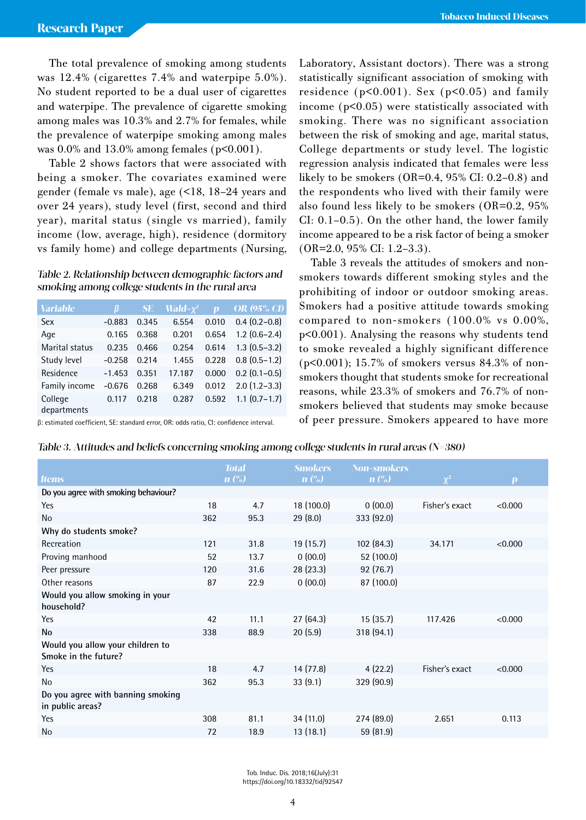The total prevalence of smoking among students was 12.4% (cigarettes 7.4% and waterpipe 5.0%). No student reported to be a dual user of cigarettes and waterpipe. The prevalence of cigarette smoking among males was 10.3% and 2.7% for females, while the prevalence of waterpipe smoking among males was  $0.0\%$  and  $13.0\%$  among females ( $p<0.001$ ).

Table 2 shows factors that were associated with being a smoker. The covariates examined were gender (female vs male), age (<18, 18–24 years and over 24 years), study level (first, second and third year), marital status (single vs married), family income (low, average, high), residence (dormitory vs family home) and college departments (Nursing,

# Table 2. Relationship between demographic factors and smoking among college students in the rural area

| <b>Variable</b>        | β        | <b>SE</b> | $Wald - y^2$ | п     | <b>OR (95% CI)</b> |
|------------------------|----------|-----------|--------------|-------|--------------------|
| Sex                    | $-0.883$ | 0.345     | 6.554        | 0.010 | $0.4(0.2 - 0.8)$   |
| Age                    | 0.165    | 0.368     | 0.201        | 0.654 | $1.2(0.6-2.4)$     |
| Marital status         | 0.235    | 0.466     | 0.254        | 0.614 | $1.3(0.5-3.2)$     |
| Study level            | $-0.258$ | 0.214     | 1.455        | 0.228 | $0.8$ $(0.5-1.2)$  |
| Residence              | $-1.453$ | 0.351     | 17.187       | 0.000 | $0.2$ (0.1-0.5)    |
| Family income          | $-0.676$ | 0.268     | 6.349        | 0.012 | $2.0$ (1.2-3.3)    |
| College<br>departments | 0.117    | 0.218     | 0.287        | 0.592 | $1.1(0.7-1.7)$     |

β: estimated coefficient, SE: standard error, OR: odds ratio, CI: confidence interval.

Laboratory, Assistant doctors). There was a strong statistically significant association of smoking with residence  $(p<0.001)$ . Sex  $(p<0.05)$  and family income (p<0.05) were statistically associated with smoking. There was no significant association between the risk of smoking and age, marital status, College departments or study level. The logistic regression analysis indicated that females were less likely to be smokers (OR=0.4,  $95\%$  CI: 0.2–0.8) and the respondents who lived with their family were also found less likely to be smokers (OR=0.2, 95% CI: 0.1–0.5). On the other hand, the lower family income appeared to be a risk factor of being a smoker (OR=2.0, 95% CI: 1.2–3.3).

Table 3 reveals the attitudes of smokers and nonsmokers towards different smoking styles and the prohibiting of indoor or outdoor smoking areas. Smokers had a positive attitude towards smoking compared to non-smokers (100.0% vs 0.00%, p<0.001). Analysing the reasons why students tend to smoke revealed a highly significant difference (p<0.001); 15.7% of smokers versus 84.3% of nonsmokers thought that students smoke for recreational reasons, while 23.3% of smokers and 76.7% of nonsmokers believed that students may smoke because of peer pressure. Smokers appeared to have more

| Table 3. Attitudes and beliefs concerning smoking among college students in rural areas (N=380) |  |  |  |  |
|-------------------------------------------------------------------------------------------------|--|--|--|--|
|-------------------------------------------------------------------------------------------------|--|--|--|--|

|                                                          |     | <b>Total</b>     | <b>Smokers</b>   | <b>Non-smokers</b> |                |                  |
|----------------------------------------------------------|-----|------------------|------------------|--------------------|----------------|------------------|
| <b>Items</b>                                             |     | $\mathbf{n}$ (%) | $\mathbf{n}$ (%) | $\mathbf{n}$ (%)   | $\chi^2$       | $\boldsymbol{p}$ |
| Do you agree with smoking behaviour?                     |     |                  |                  |                    |                |                  |
| Yes                                                      | 18  | 4.7              | 18 (100.0)       | 0(00.0)            | Fisher's exact | < 0.000          |
| No                                                       | 362 | 95.3             | 29(8.0)          | 333 (92.0)         |                |                  |
| Why do students smoke?                                   |     |                  |                  |                    |                |                  |
| Recreation                                               | 121 | 31.8             | 19(15.7)         | 102(84.3)          | 34.171         | < 0.000          |
| Proving manhood                                          | 52  | 13.7             | 0(00.0)          | 52 (100.0)         |                |                  |
| Peer pressure                                            | 120 | 31.6             | 28 (23.3)        | 92 (76.7)          |                |                  |
| Other reasons                                            | 87  | 22.9             | 0(00.0)          | 87 (100.0)         |                |                  |
| Would you allow smoking in your<br>household?            |     |                  |                  |                    |                |                  |
| Yes                                                      | 42  | 11.1             | 27(64.3)         | 15(35.7)           | 117.426        | < 0.000          |
| No                                                       | 338 | 88.9             | 20(5.9)          | 318(94.1)          |                |                  |
| Would you allow your children to<br>Smoke in the future? |     |                  |                  |                    |                |                  |
| Yes                                                      | 18  | 4.7              | 14(77.8)         | 4(22.2)            | Fisher's exact | < 0.000          |
| No                                                       | 362 | 95.3             | 33(9.1)          | 329 (90.9)         |                |                  |
| Do you agree with banning smoking<br>in public areas?    |     |                  |                  |                    |                |                  |
| Yes                                                      | 308 | 81.1             | 34(11.0)         | 274 (89.0)         | 2.651          | 0.113            |
| <b>No</b>                                                | 72  | 18.9             | 13(18.1)         | 59 (81.9)          |                |                  |

Tob. Induc. Dis. 2018;16(July):31 https://doi.org/10.18332/tid/92547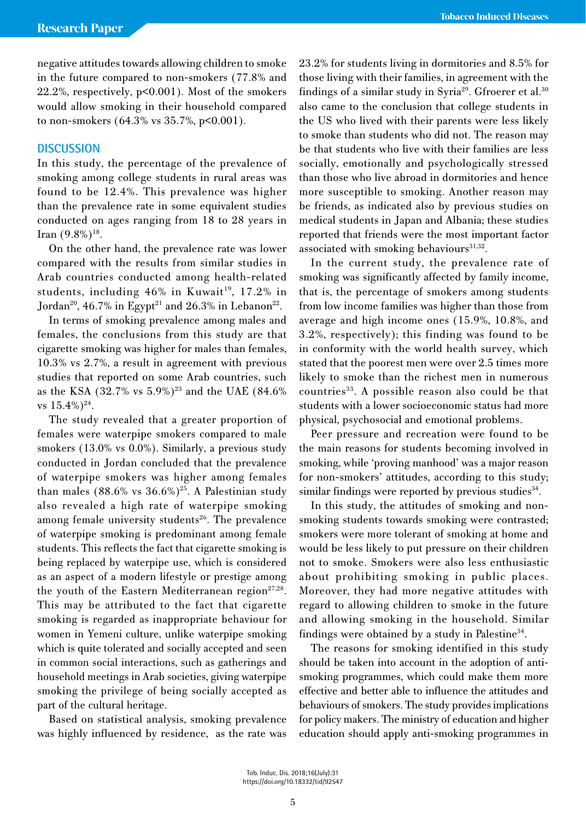negative attitudes towards allowing children to smoke in the future compared to non-smokers (77.8% and 22.2%, respectively, p<0.001). Most of the smokers would allow smoking in their household compared to non-smokers  $(64.3\% \text{ vs } 35.7\%, \text{ p} < 0.001)$ .

# **DISCUSSION**

In this study, the percentage of the prevalence of smoking among college students in rural areas was found to be 12.4%. This prevalence was higher than the prevalence rate in some equivalent studies conducted on ages ranging from 18 to 28 years in Iran  $(9.8\%)^{18}$ .

On the other hand, the prevalence rate was lower compared with the results from similar studies in Arab countries conducted among health-related students, including  $46\%$  in Kuwait<sup>19</sup>, 17.2% in Jordan<sup>20</sup>, 46.7% in Egypt<sup>21</sup> and 26.3% in Lebanon<sup>22</sup>.

In terms of smoking prevalence among males and females, the conclusions from this study are that cigarette smoking was higher for males than females, 10.3% vs 2.7%, a result in agreement with previous studies that reported on some Arab countries, such as the KSA (32.7% vs 5.9%)<sup>23</sup> and the UAE (84.6%) vs  $15.4\%)^{24}$ .

The study revealed that a greater proportion of females were waterpipe smokers compared to male smokers (13.0% vs 0.0%). Similarly, a previous study conducted in Jordan concluded that the prevalence of waterpipe smokers was higher among females than males  $(88.6\% \text{ vs } 36.6\%)^{25}$ . A Palestinian study also revealed a high rate of waterpipe smoking among female university students<sup>26</sup>. The prevalence of waterpipe smoking is predominant among female students. This reflects the fact that cigarette smoking is being replaced by waterpipe use, which is considered as an aspect of a modern lifestyle or prestige among the youth of the Eastern Mediterranean region $27,28$ . This may be attributed to the fact that cigarette smoking is regarded as inappropriate behaviour for women in Yemeni culture, unlike waterpipe smoking which is quite tolerated and socially accepted and seen in common social interactions, such as gatherings and household meetings in Arab societies, giving waterpipe smoking the privilege of being socially accepted as part of the cultural heritage.

Based on statistical analysis, smoking prevalence was highly influenced by residence, as the rate was 23.2% for students living in dormitories and 8.5% for those living with their families, in agreement with the findings of a similar study in Syria<sup>29</sup>. Gfroerer et al.<sup>30</sup> also came to the conclusion that college students in the US who lived with their parents were less likely to smoke than students who did not. The reason may be that students who live with their families are less socially, emotionally and psychologically stressed than those who live abroad in dormitories and hence more susceptible to smoking. Another reason may be friends, as indicated also by previous studies on medical students in Japan and Albania; these studies reported that friends were the most important factor associated with smoking behaviours $31,32$ .

In the current study, the prevalence rate of smoking was significantly affected by family income, that is, the percentage of smokers among students from low income families was higher than those from average and high income ones (15.9%, 10.8%, and 3.2%, respectively); this finding was found to be in conformity with the world health survey, which stated that the poorest men were over 2.5 times more likely to smoke than the richest men in numerous countries<sup>33</sup>. A possible reason also could be that students with a lower socioeconomic status had more physical, psychosocial and emotional problems.

Peer pressure and recreation were found to be the main reasons for students becoming involved in smoking, while 'proving manhood' was a major reason for non-smokers' attitudes, according to this study; similar findings were reported by previous studies<sup>34</sup>.

In this study, the attitudes of smoking and nonsmoking students towards smoking were contrasted; smokers were more tolerant of smoking at home and would be less likely to put pressure on their children not to smoke. Smokers were also less enthusiastic about prohibiting smoking in public places. Moreover, they had more negative attitudes with regard to allowing children to smoke in the future and allowing smoking in the household. Similar findings were obtained by a study in Palestine<sup>34</sup>.

The reasons for smoking identified in this study should be taken into account in the adoption of antismoking programmes, which could make them more effective and better able to influence the attitudes and behaviours of smokers. The study provides implications for policy makers. The ministry of education and higher education should apply anti-smoking programmes in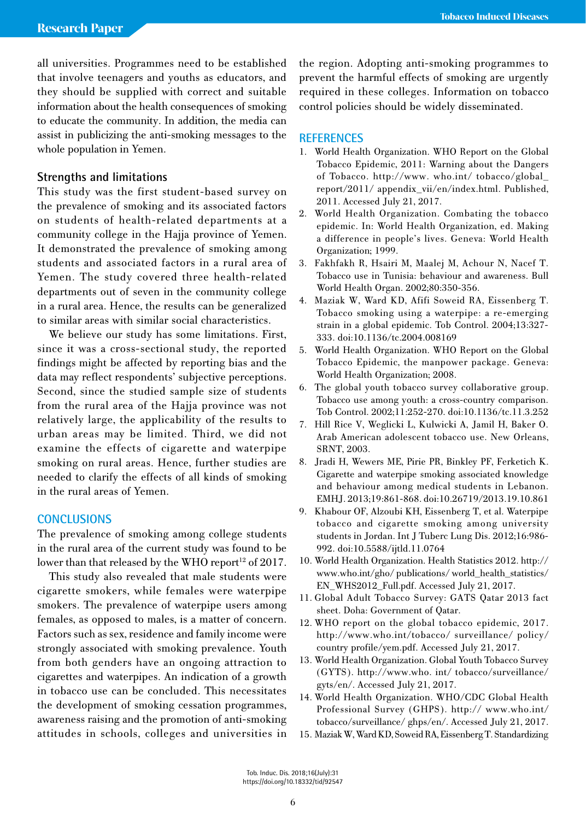all universities. Programmes need to be established that involve teenagers and youths as educators, and they should be supplied with correct and suitable information about the health consequences of smoking to educate the community. In addition, the media can assist in publicizing the anti-smoking messages to the whole population in Yemen.

#### **Strengths and limitations**

This study was the first student-based survey on the prevalence of smoking and its associated factors on students of health-related departments at a community college in the Hajja province of Yemen. It demonstrated the prevalence of smoking among students and associated factors in a rural area of Yemen. The study covered three health-related departments out of seven in the community college in a rural area. Hence, the results can be generalized to similar areas with similar social characteristics.

We believe our study has some limitations. First, since it was a cross-sectional study, the reported findings might be affected by reporting bias and the data may reflect respondents' subjective perceptions. Second, since the studied sample size of students from the rural area of the Hajja province was not relatively large, the applicability of the results to urban areas may be limited. Third, we did not examine the effects of cigarette and waterpipe smoking on rural areas. Hence, further studies are needed to clarify the effects of all kinds of smoking in the rural areas of Yemen.

# **CONCLUSIONS**

The prevalence of smoking among college students in the rural area of the current study was found to be lower than that released by the WHO report<sup>12</sup> of 2017.

This study also revealed that male students were cigarette smokers, while females were waterpipe smokers. The prevalence of waterpipe users among females, as opposed to males, is a matter of concern. Factors such as sex, residence and family income were strongly associated with smoking prevalence. Youth from both genders have an ongoing attraction to cigarettes and waterpipes. An indication of a growth in tobacco use can be concluded. This necessitates the development of smoking cessation programmes, awareness raising and the promotion of anti-smoking attitudes in schools, colleges and universities in

the region. Adopting anti-smoking programmes to prevent the harmful effects of smoking are urgently required in these colleges. Information on tobacco control policies should be widely disseminated.

#### **REFERENCES**

- 1. World Health Organization. WHO Report on the Global Tobacco Epidemic, 2011: Warning about the Dangers of Tobacco. http://www. who.int/ tobacco/global\_ report/2011/ appendix\_vii/en/index.html. Published, 2011. Accessed July 21, 2017.
- 2. World Health Organization. Combating the tobacco epidemic. In: World Health Organization, ed. Making a difference in people's lives. Geneva: World Health Organization; 1999.
- 3. Fakhfakh R, Hsairi M, Maalej M, Achour N, Nacef T. Tobacco use in Tunisia: behaviour and awareness. Bull World Health Organ. 2002;80:350-356.
- 4. Maziak W, Ward KD, Afifi Soweid RA, Eissenberg T. Tobacco smoking using a waterpipe: a re-emerging strain in a global epidemic. Tob Control. 2004;13:327- 333. doi:10.1136/tc.2004.008169
- 5. World Health Organization. WHO Report on the Global Tobacco Epidemic, the manpower package. Geneva: World Health Organization; 2008.
- 6. The global youth tobacco survey collaborative group. Tobacco use among youth: a cross-country comparison. Tob Control. 2002;11:252-270. doi:10.1136/tc.11.3.252
- 7. Hill Rice V, Weglicki L, Kulwicki A, Jamil H, Baker O. Arab American adolescent tobacco use. New Orleans, SRNT, 2003.
- 8. Jradi H, Wewers ME, Pirie PR, Binkley PF, Ferketich K. Cigarette and waterpipe smoking associated knowledge and behaviour among medical students in Lebanon. EMHJ. 2013;19:861-868. doi:10.26719/2013.19.10.861
- 9. Khabour OF, Alzoubi KH, Eissenberg T, et al. Waterpipe tobacco and cigarette smoking among university students in Jordan. Int J Tuberc Lung Dis. 2012;16:986- 992. doi:10.5588/ijtld.11.0764
- 10. World Health Organization. Health Statistics 2012. http:// www.who.int/gho/ publications/ world\_health\_statistics/ EN\_WHS2012\_Full.pdf. Accessed July 21, 2017.
- 11. Global Adult Tobacco Survey: GATS Qatar 2013 fact sheet. Doha: Government of Qatar.
- 12. WHO report on the global tobacco epidemic, 2017. http://www.who.int/tobacco/ surveillance/ policy/ country profile/yem.pdf. Accessed July 21, 2017.
- 13. World Health Organization. Global Youth Tobacco Survey (GYTS). http://www.who. int/ tobacco/surveillance/ gyts/en/. Accessed July 21, 2017.
- 14. World Health Organization. WHO/CDC Global Health Professional Survey (GHPS). http:// www.who.int/ tobacco/surveillance/ ghps/en/. Accessed July 21, 2017.
- 15. Maziak W, Ward KD, Soweid RA, Eissenberg T. Standardizing